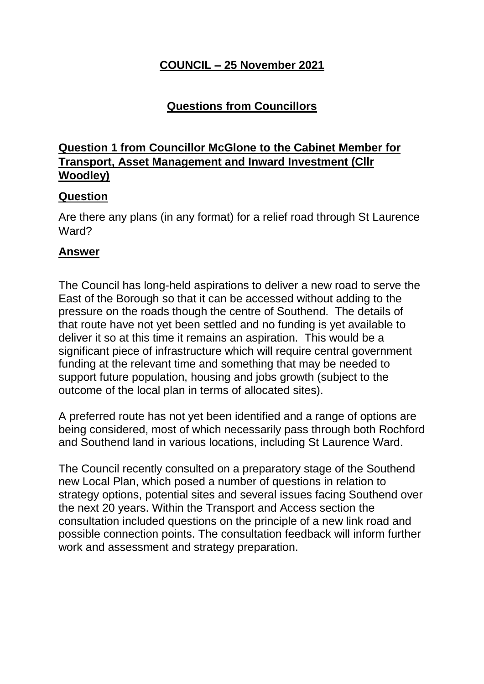### **COUNCIL – 25 November 2021**

## **Questions from Councillors**

### **Question 1 from Councillor McGlone to the Cabinet Member for Transport, Asset Management and Inward Investment (Cllr Woodley)**

#### **Question**

Are there any plans (in any format) for a relief road through St Laurence Ward?

#### **Answer**

The Council has long-held aspirations to deliver a new road to serve the East of the Borough so that it can be accessed without adding to the pressure on the roads though the centre of Southend. The details of that route have not yet been settled and no funding is yet available to deliver it so at this time it remains an aspiration. This would be a significant piece of infrastructure which will require central government funding at the relevant time and something that may be needed to support future population, housing and jobs growth (subject to the outcome of the local plan in terms of allocated sites).

A preferred route has not yet been identified and a range of options are being considered, most of which necessarily pass through both Rochford and Southend land in various locations, including St Laurence Ward.

The Council recently consulted on a preparatory stage of the Southend new Local Plan, which posed a number of questions in relation to strategy options, potential sites and several issues facing Southend over the next 20 years. Within the Transport and Access section the consultation included questions on the principle of a new link road and possible connection points. The consultation feedback will inform further work and assessment and strategy preparation.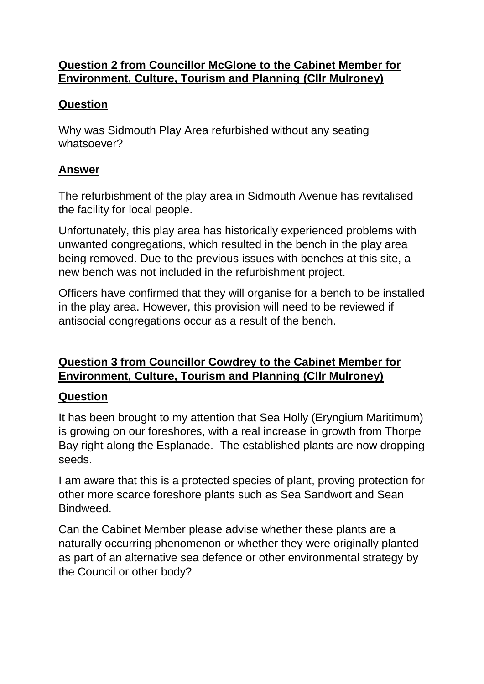#### **Question 2 from Councillor McGlone to the Cabinet Member for Environment, Culture, Tourism and Planning (Cllr Mulroney)**

## **Question**

Why was Sidmouth Play Area refurbished without any seating whatsoever?

## **Answer**

The refurbishment of the play area in Sidmouth Avenue has revitalised the facility for local people.

Unfortunately, this play area has historically experienced problems with unwanted congregations, which resulted in the bench in the play area being removed. Due to the previous issues with benches at this site, a new bench was not included in the refurbishment project.

Officers have confirmed that they will organise for a bench to be installed in the play area. However, this provision will need to be reviewed if antisocial congregations occur as a result of the bench.

## **Question 3 from Councillor Cowdrey to the Cabinet Member for Environment, Culture, Tourism and Planning (Cllr Mulroney)**

### **Question**

It has been brought to my attention that Sea Holly (Eryngium Maritimum) is growing on our foreshores, with a real increase in growth from Thorpe Bay right along the Esplanade. The established plants are now dropping seeds.

I am aware that this is a protected species of plant, proving protection for other more scarce foreshore plants such as Sea Sandwort and Sean **Bindweed.** 

Can the Cabinet Member please advise whether these plants are a naturally occurring phenomenon or whether they were originally planted as part of an alternative sea defence or other environmental strategy by the Council or other body?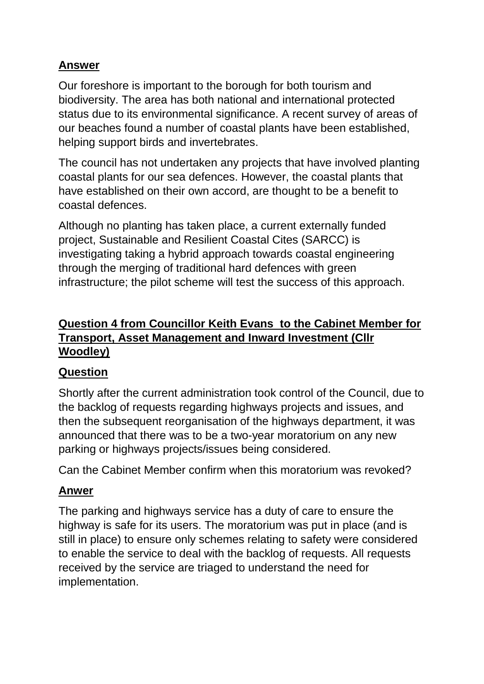Our foreshore is important to the borough for both tourism and biodiversity. The area has both national and international protected status due to its environmental significance. A recent survey of areas of our beaches found a number of coastal plants have been established, helping support birds and invertebrates.

The council has not undertaken any projects that have involved planting coastal plants for our sea defences. However, the coastal plants that have established on their own accord, are thought to be a benefit to coastal defences.

Although no planting has taken place, a current externally funded project, Sustainable and Resilient Coastal Cites (SARCC) is investigating taking a hybrid approach towards coastal engineering through the merging of traditional hard defences with green infrastructure; the pilot scheme will test the success of this approach.

# **Question 4 from Councillor Keith Evans to the Cabinet Member for Transport, Asset Management and Inward Investment (Cllr Woodley)**

# **Question**

Shortly after the current administration took control of the Council, due to the backlog of requests regarding highways projects and issues, and then the subsequent reorganisation of the highways department, it was announced that there was to be a two-year moratorium on any new parking or highways projects/issues being considered.

Can the Cabinet Member confirm when this moratorium was revoked?

# **Anwer**

The parking and highways service has a duty of care to ensure the highway is safe for its users. The moratorium was put in place (and is still in place) to ensure only schemes relating to safety were considered to enable the service to deal with the backlog of requests. All requests received by the service are triaged to understand the need for implementation.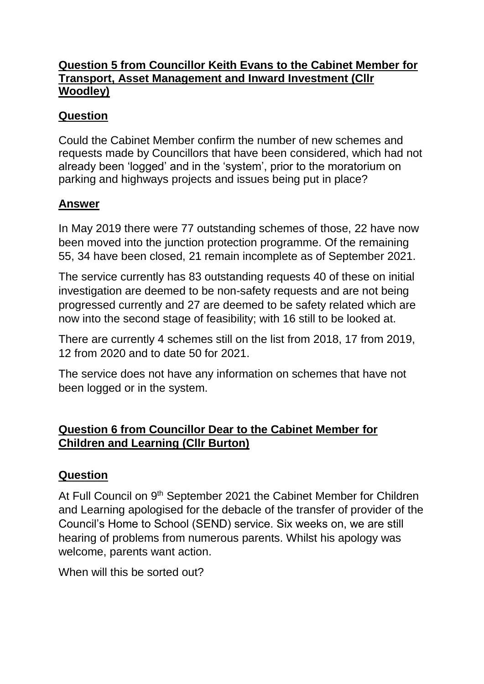#### **Question 5 from Councillor Keith Evans to the Cabinet Member for Transport, Asset Management and Inward Investment (Cllr Woodley)**

## **Question**

Could the Cabinet Member confirm the number of new schemes and requests made by Councillors that have been considered, which had not already been 'logged' and in the 'system', prior to the moratorium on parking and highways projects and issues being put in place?

## **Answer**

In May 2019 there were 77 outstanding schemes of those, 22 have now been moved into the junction protection programme. Of the remaining 55, 34 have been closed, 21 remain incomplete as of September 2021.

The service currently has 83 outstanding requests 40 of these on initial investigation are deemed to be non-safety requests and are not being progressed currently and 27 are deemed to be safety related which are now into the second stage of feasibility; with 16 still to be looked at.

There are currently 4 schemes still on the list from 2018, 17 from 2019, 12 from 2020 and to date 50 for 2021.

The service does not have any information on schemes that have not been logged or in the system.

# **Question 6 from Councillor Dear to the Cabinet Member for Children and Learning (Cllr Burton)**

### **Question**

At Full Council on 9<sup>th</sup> September 2021 the Cabinet Member for Children and Learning apologised for the debacle of the transfer of provider of the Council's Home to School (SEND) service. Six weeks on, we are still hearing of problems from numerous parents. Whilst his apology was welcome, parents want action.

When will this be sorted out?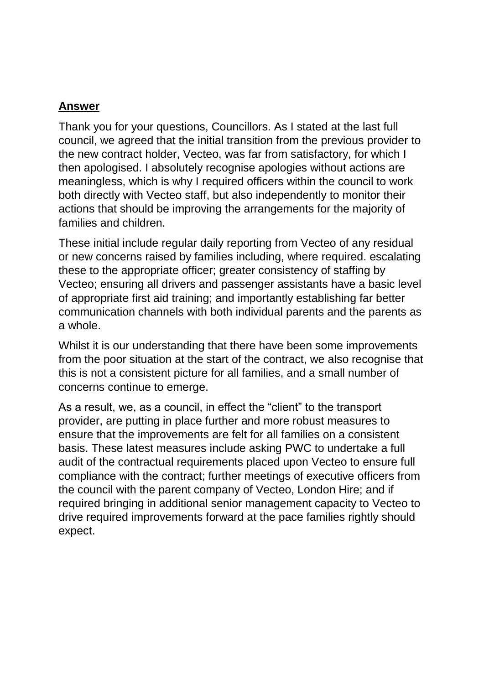Thank you for your questions, Councillors. As I stated at the last full council, we agreed that the initial transition from the previous provider to the new contract holder, Vecteo, was far from satisfactory, for which I then apologised. I absolutely recognise apologies without actions are meaningless, which is why I required officers within the council to work both directly with Vecteo staff, but also independently to monitor their actions that should be improving the arrangements for the majority of families and children.

These initial include regular daily reporting from Vecteo of any residual or new concerns raised by families including, where required. escalating these to the appropriate officer; greater consistency of staffing by Vecteo; ensuring all drivers and passenger assistants have a basic level of appropriate first aid training; and importantly establishing far better communication channels with both individual parents and the parents as a whole.

Whilst it is our understanding that there have been some improvements from the poor situation at the start of the contract, we also recognise that this is not a consistent picture for all families, and a small number of concerns continue to emerge.

As a result, we, as a council, in effect the "client" to the transport provider, are putting in place further and more robust measures to ensure that the improvements are felt for all families on a consistent basis. These latest measures include asking PWC to undertake a full audit of the contractual requirements placed upon Vecteo to ensure full compliance with the contract; further meetings of executive officers from the council with the parent company of Vecteo, London Hire; and if required bringing in additional senior management capacity to Vecteo to drive required improvements forward at the pace families rightly should expect.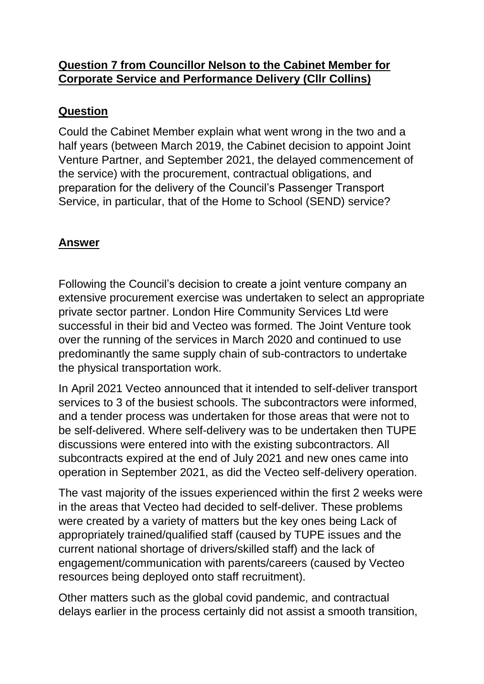### **Question 7 from Councillor Nelson to the Cabinet Member for Corporate Service and Performance Delivery (Cllr Collins)**

# **Question**

Could the Cabinet Member explain what went wrong in the two and a half years (between March 2019, the Cabinet decision to appoint Joint Venture Partner, and September 2021, the delayed commencement of the service) with the procurement, contractual obligations, and preparation for the delivery of the Council's Passenger Transport Service, in particular, that of the Home to School (SEND) service?

## **Answer**

Following the Council's decision to create a joint venture company an extensive procurement exercise was undertaken to select an appropriate private sector partner. London Hire Community Services Ltd were successful in their bid and Vecteo was formed. The Joint Venture took over the running of the services in March 2020 and continued to use predominantly the same supply chain of sub-contractors to undertake the physical transportation work.

In April 2021 Vecteo announced that it intended to self-deliver transport services to 3 of the busiest schools. The subcontractors were informed, and a tender process was undertaken for those areas that were not to be self-delivered. Where self-delivery was to be undertaken then TUPE discussions were entered into with the existing subcontractors. All subcontracts expired at the end of July 2021 and new ones came into operation in September 2021, as did the Vecteo self-delivery operation.

The vast majority of the issues experienced within the first 2 weeks were in the areas that Vecteo had decided to self-deliver. These problems were created by a variety of matters but the key ones being Lack of appropriately trained/qualified staff (caused by TUPE issues and the current national shortage of drivers/skilled staff) and the lack of engagement/communication with parents/careers (caused by Vecteo resources being deployed onto staff recruitment).

Other matters such as the global covid pandemic, and contractual delays earlier in the process certainly did not assist a smooth transition,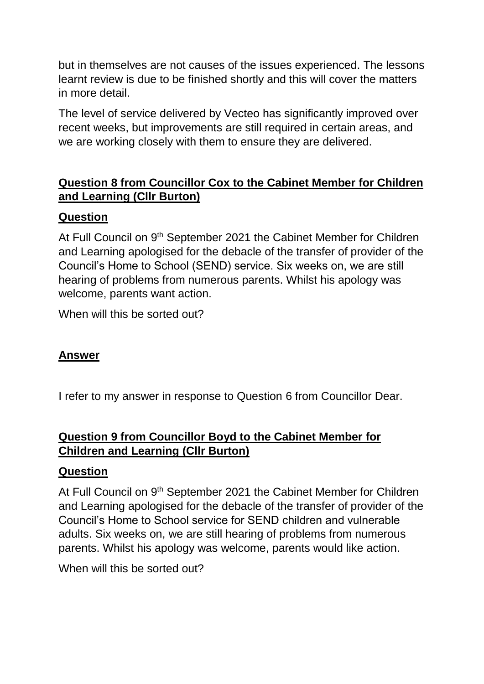but in themselves are not causes of the issues experienced. The lessons learnt review is due to be finished shortly and this will cover the matters in more detail.

The level of service delivered by Vecteo has significantly improved over recent weeks, but improvements are still required in certain areas, and we are working closely with them to ensure they are delivered.

# **Question 8 from Councillor Cox to the Cabinet Member for Children and Learning (Cllr Burton)**

## **Question**

At Full Council on 9<sup>th</sup> September 2021 the Cabinet Member for Children and Learning apologised for the debacle of the transfer of provider of the Council's Home to School (SEND) service. Six weeks on, we are still hearing of problems from numerous parents. Whilst his apology was welcome, parents want action.

When will this be sorted out?

### **Answer**

I refer to my answer in response to Question 6 from Councillor Dear.

## **Question 9 from Councillor Boyd to the Cabinet Member for Children and Learning (Cllr Burton)**

#### **Question**

At Full Council on 9<sup>th</sup> September 2021 the Cabinet Member for Children and Learning apologised for the debacle of the transfer of provider of the Council's Home to School service for SEND children and vulnerable adults. Six weeks on, we are still hearing of problems from numerous parents. Whilst his apology was welcome, parents would like action.

When will this be sorted out?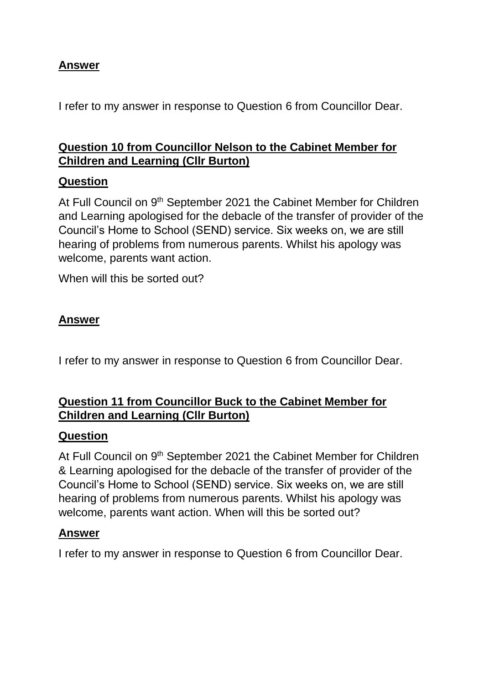I refer to my answer in response to Question 6 from Councillor Dear.

# **Question 10 from Councillor Nelson to the Cabinet Member for Children and Learning (Cllr Burton)**

#### **Question**

At Full Council on 9<sup>th</sup> September 2021 the Cabinet Member for Children and Learning apologised for the debacle of the transfer of provider of the Council's Home to School (SEND) service. Six weeks on, we are still hearing of problems from numerous parents. Whilst his apology was welcome, parents want action.

When will this be sorted out?

#### **Answer**

I refer to my answer in response to Question 6 from Councillor Dear.

### **Question 11 from Councillor Buck to the Cabinet Member for Children and Learning (Cllr Burton)**

#### **Question**

At Full Council on 9<sup>th</sup> September 2021 the Cabinet Member for Children & Learning apologised for the debacle of the transfer of provider of the Council's Home to School (SEND) service. Six weeks on, we are still hearing of problems from numerous parents. Whilst his apology was welcome, parents want action. When will this be sorted out?

#### **Answer**

I refer to my answer in response to Question 6 from Councillor Dear.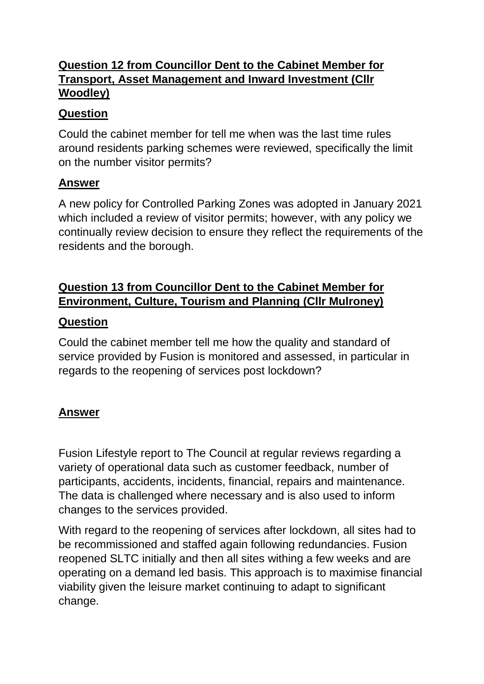# **Question 12 from Councillor Dent to the Cabinet Member for Transport, Asset Management and Inward Investment (Cllr Woodley)**

### **Question**

Could the cabinet member for tell me when was the last time rules around residents parking schemes were reviewed, specifically the limit on the number visitor permits?

### **Answer**

A new policy for Controlled Parking Zones was adopted in January 2021 which included a review of visitor permits; however, with any policy we continually review decision to ensure they reflect the requirements of the residents and the borough.

# **Question 13 from Councillor Dent to the Cabinet Member for Environment, Culture, Tourism and Planning (Cllr Mulroney)**

#### **Question**

Could the cabinet member tell me how the quality and standard of service provided by Fusion is monitored and assessed, in particular in regards to the reopening of services post lockdown?

### **Answer**

Fusion Lifestyle report to The Council at regular reviews regarding a variety of operational data such as customer feedback, number of participants, accidents, incidents, financial, repairs and maintenance. The data is challenged where necessary and is also used to inform changes to the services provided.

With regard to the reopening of services after lockdown, all sites had to be recommissioned and staffed again following redundancies. Fusion reopened SLTC initially and then all sites withing a few weeks and are operating on a demand led basis. This approach is to maximise financial viability given the leisure market continuing to adapt to significant change.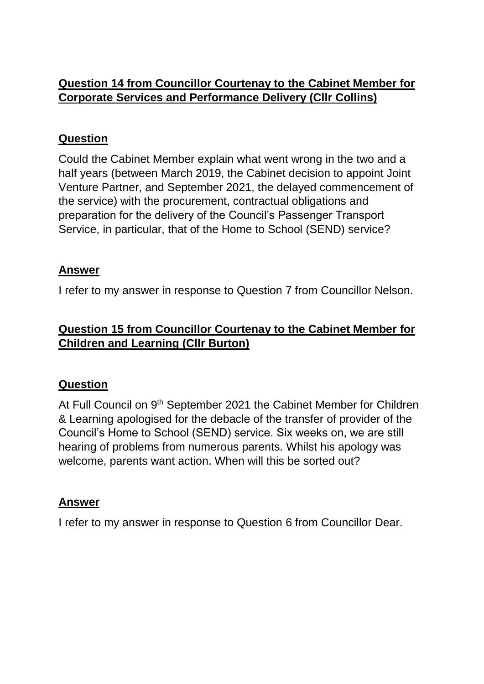# **Question 14 from Councillor Courtenay to the Cabinet Member for Corporate Services and Performance Delivery (Cllr Collins)**

#### **Question**

Could the Cabinet Member explain what went wrong in the two and a half years (between March 2019, the Cabinet decision to appoint Joint Venture Partner, and September 2021, the delayed commencement of the service) with the procurement, contractual obligations and preparation for the delivery of the Council's Passenger Transport Service, in particular, that of the Home to School (SEND) service?

### **Answer**

I refer to my answer in response to Question 7 from Councillor Nelson.

## **Question 15 from Councillor Courtenay to the Cabinet Member for Children and Learning (Cllr Burton)**

### **Question**

At Full Council on 9<sup>th</sup> September 2021 the Cabinet Member for Children & Learning apologised for the debacle of the transfer of provider of the Council's Home to School (SEND) service. Six weeks on, we are still hearing of problems from numerous parents. Whilst his apology was welcome, parents want action. When will this be sorted out?

#### **Answer**

I refer to my answer in response to Question 6 from Councillor Dear.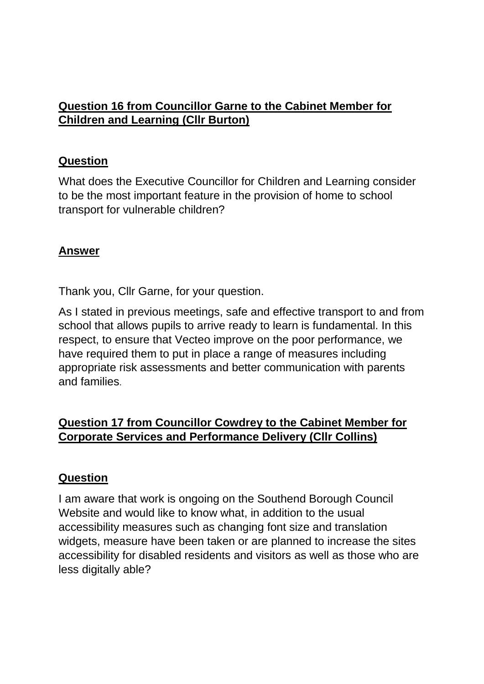## **Question 16 from Councillor Garne to the Cabinet Member for Children and Learning (Cllr Burton)**

#### **Question**

What does the Executive Councillor for Children and Learning consider to be the most important feature in the provision of home to school transport for vulnerable children?

#### **Answer**

Thank you, Cllr Garne, for your question.

As I stated in previous meetings, safe and effective transport to and from school that allows pupils to arrive ready to learn is fundamental. In this respect, to ensure that Vecteo improve on the poor performance, we have required them to put in place a range of measures including appropriate risk assessments and better communication with parents and families.

### **Question 17 from Councillor Cowdrey to the Cabinet Member for Corporate Services and Performance Delivery (Cllr Collins)**

### **Question**

I am aware that work is ongoing on the Southend Borough Council Website and would like to know what, in addition to the usual accessibility measures such as changing font size and translation widgets, measure have been taken or are planned to increase the sites accessibility for disabled residents and visitors as well as those who are less digitally able?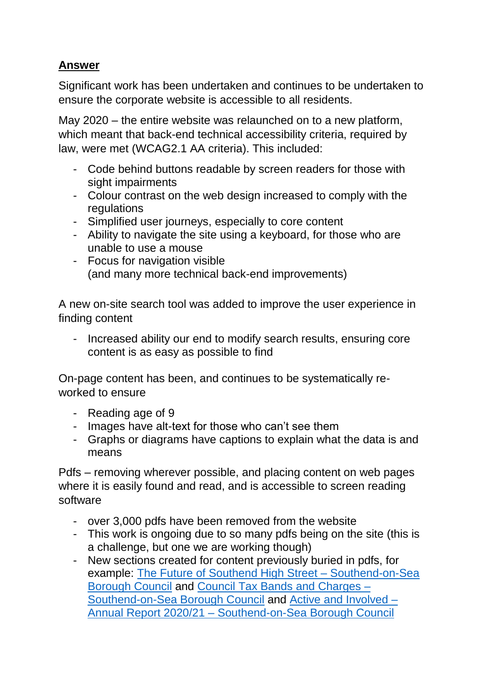Significant work has been undertaken and continues to be undertaken to ensure the corporate website is accessible to all residents.

May 2020 – the entire website was relaunched on to a new platform, which meant that back-end technical accessibility criteria, required by law, were met (WCAG2.1 AA criteria). This included:

- Code behind buttons readable by screen readers for those with sight impairments
- Colour contrast on the web design increased to comply with the **regulations**
- Simplified user journeys, especially to core content
- Ability to navigate the site using a keyboard, for those who are unable to use a mouse
- Focus for navigation visible (and many more technical back-end improvements)

A new on-site search tool was added to improve the user experience in finding content

- Increased ability our end to modify search results, ensuring core content is as easy as possible to find

On-page content has been, and continues to be systematically reworked to ensure

- Reading age of 9
- Images have alt-text for those who can't see them
- Graphs or diagrams have captions to explain what the data is and means

Pdfs – removing wherever possible, and placing content on web pages where it is easily found and read, and is accessible to screen reading software

- over 3,000 pdfs have been removed from the website
- This work is ongoing due to so many pdfs being on the site (this is a challenge, but one we are working though)
- New sections created for content previously buried in pdfs, for example: [The Future of Southend High Street –](https://www.southend.gov.uk/homepage/447/the-future-of-southend-high-street) Southend-on-Sea [Borough Council](https://www.southend.gov.uk/homepage/447/the-future-of-southend-high-street) and [Council Tax Bands and Charges –](https://www.southend.gov.uk/council-tax-bands-charges) [Southend-on-Sea Borough Council](https://www.southend.gov.uk/council-tax-bands-charges) and [Active and Involved –](https://www.southend.gov.uk/southend-2050-7/annual-report/5) Annual Report 2020/21 – [Southend-on-Sea Borough Council](https://www.southend.gov.uk/southend-2050-7/annual-report/5)